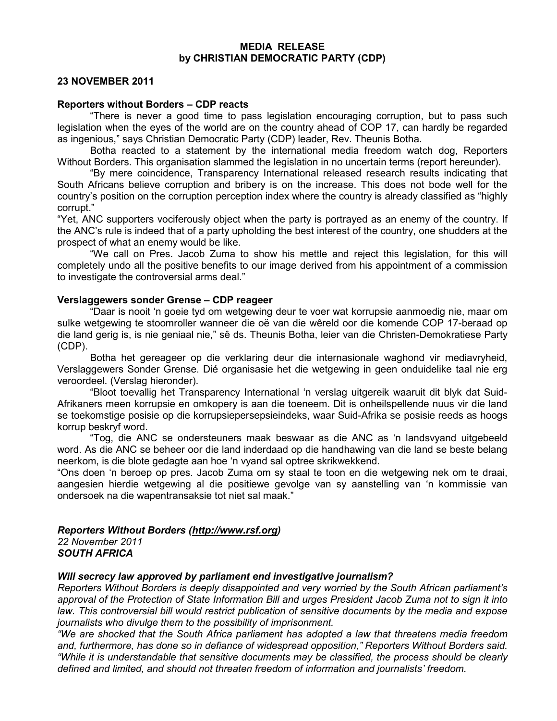#### MEDIA RELEASE by CHRISTIAN DEMOCRATIC PARTY (CDP)

# 23 NOVEMBER 2011

### Reporters without Borders – CDP reacts

"There is never a good time to pass legislation encouraging corruption, but to pass such legislation when the eyes of the world are on the country ahead of COP 17, can hardly be regarded as ingenious," says Christian Democratic Party (CDP) leader, Rev. Theunis Botha.

Botha reacted to a statement by the international media freedom watch dog, Reporters Without Borders. This organisation slammed the legislation in no uncertain terms (report hereunder).

"By mere coincidence, Transparency International released research results indicating that South Africans believe corruption and bribery is on the increase. This does not bode well for the country's position on the corruption perception index where the country is already classified as "highly corrupt."

"Yet, ANC supporters vociferously object when the party is portrayed as an enemy of the country. If the ANC's rule is indeed that of a party upholding the best interest of the country, one shudders at the prospect of what an enemy would be like.

"We call on Pres. Jacob Zuma to show his mettle and reject this legislation, for this will completely undo all the positive benefits to our image derived from his appointment of a commission to investigate the controversial arms deal."

## Verslaggewers sonder Grense – CDP reageer

"Daar is nooit 'n goeie tyd om wetgewing deur te voer wat korrupsie aanmoedig nie, maar om sulke wetgewing te stoomroller wanneer die oë van die wêreld oor die komende COP 17-beraad op die land gerig is, is nie geniaal nie," sê ds. Theunis Botha, leier van die Christen-Demokratiese Party (CDP).

Botha het gereageer op die verklaring deur die internasionale waghond vir mediavryheid, Verslaggewers Sonder Grense. Dié organisasie het die wetgewing in geen onduidelike taal nie erg veroordeel. (Verslag hieronder).

"Bloot toevallig het Transparency International 'n verslag uitgereik waaruit dit blyk dat Suid-Afrikaners meen korrupsie en omkopery is aan die toeneem. Dit is onheilspellende nuus vir die land se toekomstige posisie op die korrupsiepersepsieindeks, waar Suid-Afrika se posisie reeds as hoogs korrup beskryf word.

"Tog, die ANC se ondersteuners maak beswaar as die ANC as 'n landsvyand uitgebeeld word. As die ANC se beheer oor die land inderdaad op die handhawing van die land se beste belang neerkom, is die blote gedagte aan hoe 'n vyand sal optree skrikwekkend.

"Ons doen 'n beroep op pres. Jacob Zuma om sy staal te toon en die wetgewing nek om te draai, aangesien hierdie wetgewing al die positiewe gevolge van sy aanstelling van 'n kommissie van ondersoek na die wapentransaksie tot niet sal maak."

### *Reporters Without Borders (http://www.rsf.org)* 22 November 2011 *SOUTH AFRICA*

## *Will secrecy law approved by parliament end investigative journalism?*

Reporters Without Borders is deeply disappointed and very worried by the South African parliament's approval of the Protection of State Information Bill and urges President Jacob Zuma not to sign it into law. This controversial bill would restrict publication of sensitive documents by the media and expose journalists who divulge them to the possibility of imprisonment.

"We are shocked that the South Africa parliament has adopted a law that threatens media freedom and, furthermore, has done so in defiance of widespread opposition," Reporters Without Borders said. "While it is understandable that sensitive documents may be classified, the process should be clearly defined and limited, and should not threaten freedom of information and journalists' freedom.